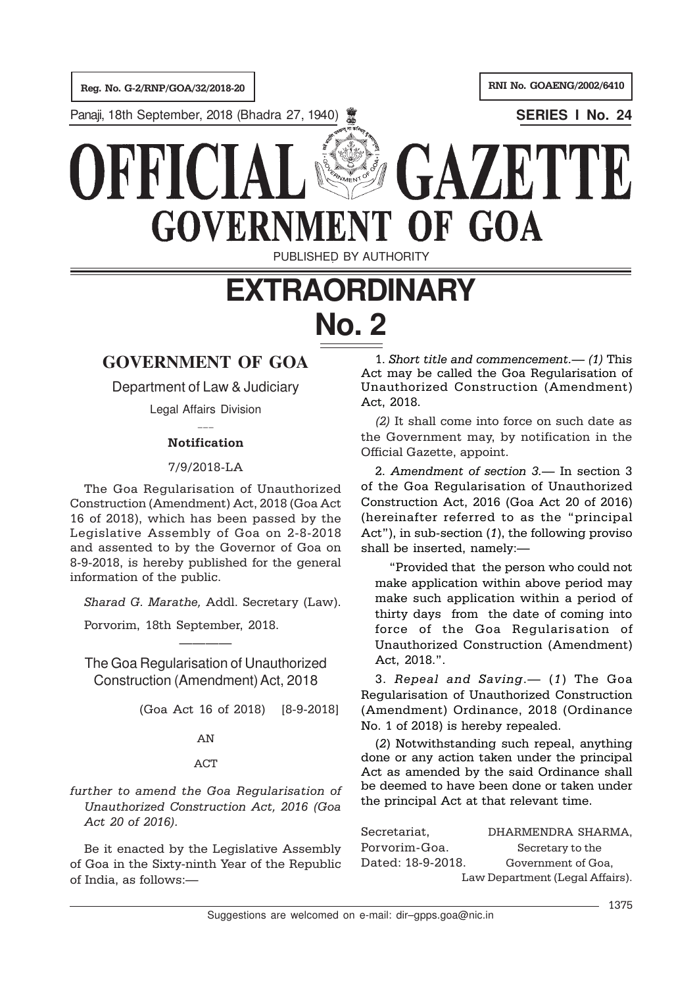Panaji, 18th September, 2018 (Bhadra 27, 1940) **SERIES I No. 24**

**GOVERNMEI** OF GOA PUBLISHED BY AUTHORITY **EXTRAORDINARY**

# **No. 2**

# **GOVERNMENT OF GOA**

Department of Law & Judiciary

Legal Affairs Division  $\overline{\phantom{a}}$ 

## Notification

## 7/9/2018-LA

The Goa Regularisation of Unauthorized Construction (Amendment) Act, 2018 (Goa Act 16 of 2018), which has been passed by the Legislative Assembly of Goa on 2-8-2018 and assented to by the Governor of Goa on 8-9-2018, is hereby published for the general information of the public.

Sharad G. Marathe, Addl. Secretary (Law).

Porvorim, 18th September, 2018.

The Goa Regularisation of Unauthorized Construction (Amendment) Act, 2018

————

(Goa Act 16 of 2018) [8-9-2018]

## AN

## ACT

further to amend the Goa Regularisation of Unauthorized Construction Act, 2016 (Goa Act 20 of 2016).

Be it enacted by the Legislative Assembly of Goa in the Sixty-ninth Year of the Republic of India, as follows:—

1. Short title and commencement.— (1) This Act may be called the Goa Regularisation of Unauthorized Construction (Amendment) Act, 2018.

GAZET"

(2) It shall come into force on such date as the Government may, by notification in the Official Gazette, appoint.

2. Amendment of section 3.— In section 3 of the Goa Regularisation of Unauthorized Construction Act, 2016 (Goa Act 20 of 2016) (hereinafter referred to as the "principal Act"), in sub-section (1), the following proviso shall be inserted, namely:—

"Provided that the person who could not make application within above period may make such application within a period of thirty days from the date of coming into force of the Goa Regularisation of Unauthorized Construction (Amendment) Act, 2018.".

3. Repeal and Saving.— (1) The Goa Regularisation of Unauthorized Construction (Amendment) Ordinance, 2018 (Ordinance No. 1 of 2018) is hereby repealed.

(2) Notwithstanding such repeal, anything done or any action taken under the principal Act as amended by the said Ordinance shall be deemed to have been done or taken under the principal Act at that relevant time.

Secretariat, DHARMENDRA SHARMA, Porvorim-Goa. Secretary to the Dated: 18-9-2018. Government of Goa, Law Department (Legal Affairs).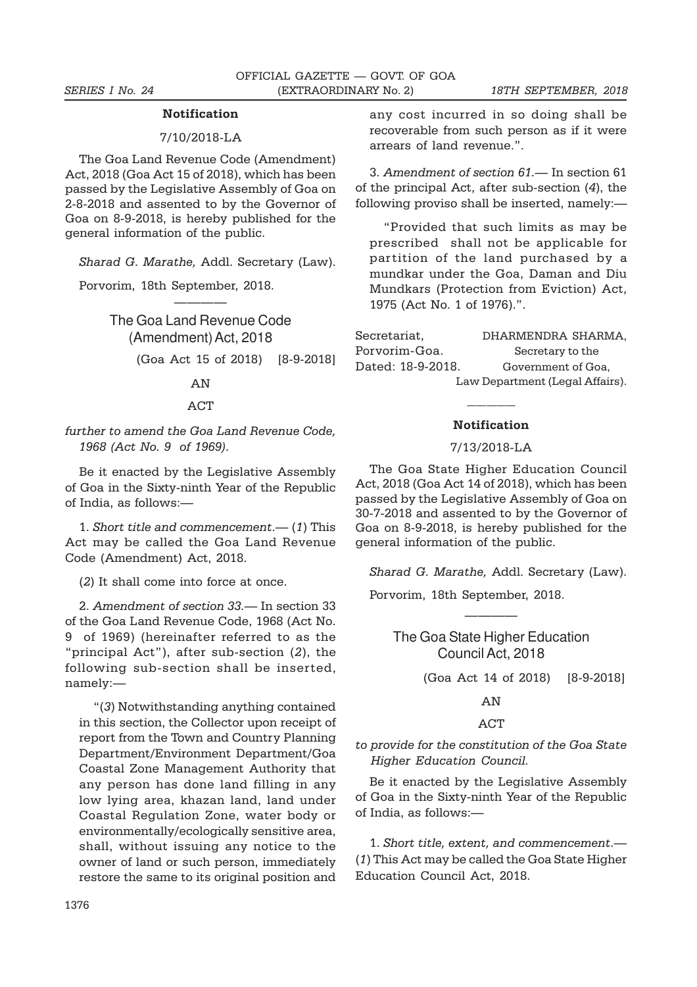#### Notification

### 7/10/2018-LA

The Goa Land Revenue Code (Amendment) Act, 2018 (Goa Act 15 of 2018), which has been passed by the Legislative Assembly of Goa on 2-8-2018 and assented to by the Governor of Goa on 8-9-2018, is hereby published for the general information of the public.

Sharad G. Marathe, Addl. Secretary (Law).

————

Porvorim, 18th September, 2018.

# The Goa Land Revenue Code (Amendment) Act, 2018 (Goa Act 15 of 2018) [8-9-2018]

## AN

## **ACT**

## further to amend the Goa Land Revenue Code, 1968 (Act No. 9 of 1969).

Be it enacted by the Legislative Assembly of Goa in the Sixty-ninth Year of the Republic of India, as follows:—

1. Short title and commencement.— (1) This Act may be called the Goa Land Revenue Code (Amendment) Act, 2018.

(2) It shall come into force at once.

2. Amendment of section 33.— In section 33 of the Goa Land Revenue Code, 1968 (Act No. 9 of 1969) (hereinafter referred to as the "principal Act"), after sub-section (2), the following sub-section shall be inserted, namely:—

"(3) Notwithstanding anything contained in this section, the Collector upon receipt of report from the Town and Country Planning Department/Environment Department/Goa Coastal Zone Management Authority that any person has done land filling in any low lying area, khazan land, land under Coastal Regulation Zone, water body or environmentally/ecologically sensitive area, shall, without issuing any notice to the owner of land or such person, immediately restore the same to its original position and

any cost incurred in so doing shall be recoverable from such person as if it were arrears of land revenue.".

3. Amendment of section 61.— In section 61 of the principal Act, after sub-section (4), the following proviso shall be inserted, namely:—

"Provided that such limits as may be prescribed shall not be applicable for partition of the land purchased by a mundkar under the Goa, Daman and Diu Mundkars (Protection from Eviction) Act, 1975 (Act No. 1 of 1976).".

| Secretariat,                    | DHARMENDRA SHARMA. |
|---------------------------------|--------------------|
| Porvorim-Goa.                   | Secretary to the   |
| Dated: 18-9-2018.               | Government of Goa, |
| Law Department (Legal Affairs). |                    |

## ————— Notification

## 7/13/2018-LA

The Goa State Higher Education Council Act, 2018 (Goa Act 14 of 2018), which has been passed by the Legislative Assembly of Goa on 30-7-2018 and assented to by the Governor of Goa on 8-9-2018, is hereby published for the general information of the public.

Sharad G. Marathe, Addl. Secretary (Law).

Porvorim, 18th September, 2018.

The Goa State Higher Education Council Act, 2018

————

(Goa Act 14 of 2018) [8-9-2018]

AN

### ACT

to provide for the constitution of the Goa State Higher Education Council.

Be it enacted by the Legislative Assembly of Goa in the Sixty-ninth Year of the Republic of India, as follows:—

1. Short title, extent, and commencement.— (1) This Act may be called the Goa State Higher Education Council Act, 2018.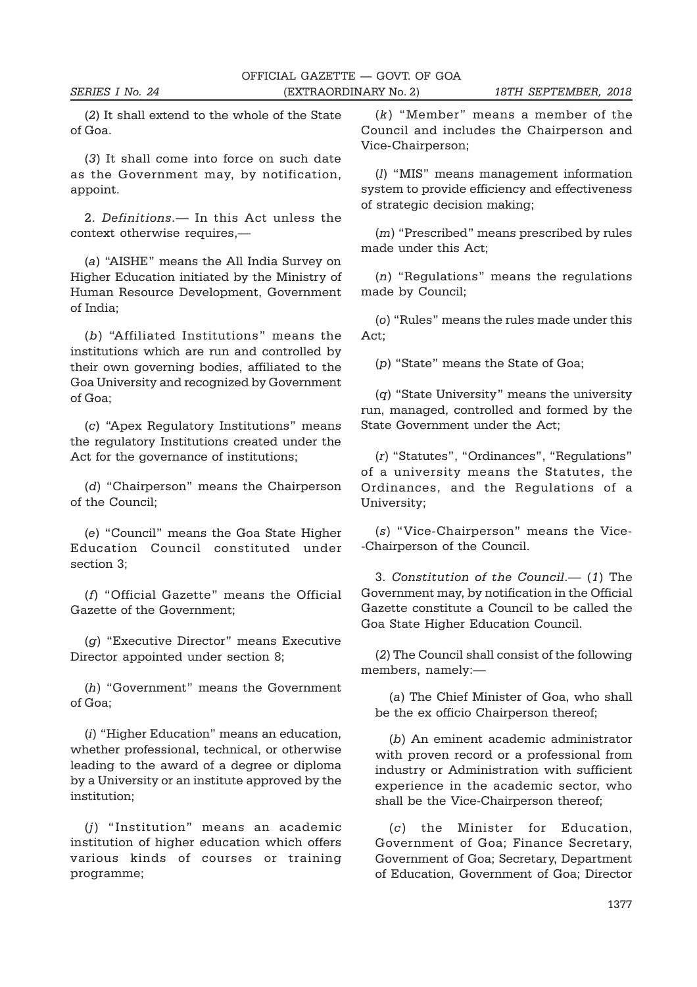(2) It shall extend to the whole of the State of Goa.

(3) It shall come into force on such date as the Government may, by notification, appoint.

2. Definitions.— In this Act unless the context otherwise requires,—

(a) "AISHE" means the All India Survey on Higher Education initiated by the Ministry of Human Resource Development, Government of India;

(b) "Affiliated Institutions" means the institutions which are run and controlled by their own governing bodies, affiliated to the Goa University and recognized by Government of Goa;

(c) "Apex Regulatory Institutions" means the regulatory Institutions created under the Act for the governance of institutions;

(d) "Chairperson" means the Chairperson of the Council;

(e) "Council" means the Goa State Higher Education Council constituted under section 3;

(f) "Official Gazette" means the Official Gazette of the Government;

(g) "Executive Director" means Executive Director appointed under section 8;

(h) "Government" means the Government of Goa;

(i) "Higher Education" means an education, whether professional, technical, or otherwise leading to the award of a degree or diploma by a University or an institute approved by the institution;

(j) "Institution" means an academic institution of higher education which offers various kinds of courses or training programme;

(k) "Member" means a member of the Council and includes the Chairperson and Vice-Chairperson;

(l) "MIS" means management information system to provide efficiency and effectiveness of strategic decision making;

(m) "Prescribed" means prescribed by rules made under this Act;

(n) "Regulations" means the regulations made by Council;

(o) "Rules" means the rules made under this Act;

(p) "State" means the State of Goa;

(q) "State University" means the university run, managed, controlled and formed by the State Government under the Act;

(r) "Statutes", "Ordinances", "Regulations" of a university means the Statutes, the Ordinances, and the Regulations of a University;

(s) "Vice-Chairperson" means the Vice- -Chairperson of the Council.

3. Constitution of the Council.— (1) The Government may, by notification in the Official Gazette constitute a Council to be called the Goa State Higher Education Council.

(2) The Council shall consist of the following members, namely:—

(a) The Chief Minister of Goa, who shall be the ex officio Chairperson thereof;

(b) An eminent academic administrator with proven record or a professional from industry or Administration with sufficient experience in the academic sector, who shall be the Vice-Chairperson thereof;

(c) the Minister for Education, Government of Goa; Finance Secretary, Government of Goa; Secretary, Department of Education, Government of Goa; Director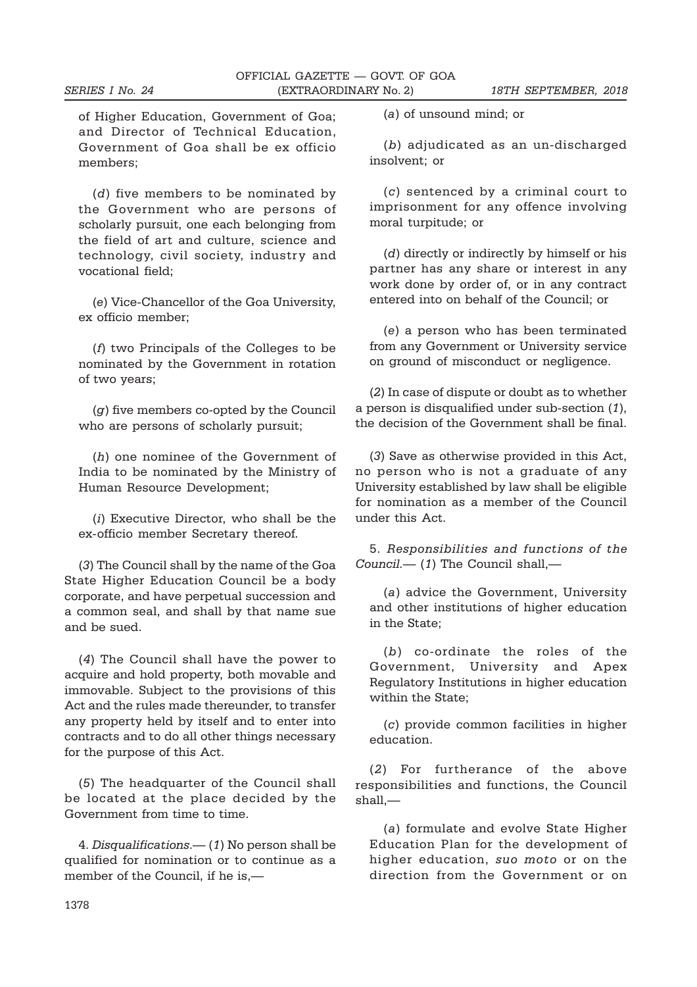of Higher Education, Government of Goa; and Director of Technical Education, Government of Goa shall be ex officio members;

(d) five members to be nominated by the Government who are persons of scholarly pursuit, one each belonging from the field of art and culture, science and technology, civil society, industry and vocational field;

(e) Vice-Chancellor of the Goa University, ex officio member;

(f) two Principals of the Colleges to be nominated by the Government in rotation of two years;

(g) five members co-opted by the Council who are persons of scholarly pursuit;

(h) one nominee of the Government of India to be nominated by the Ministry of Human Resource Development;

(i) Executive Director, who shall be the ex-officio member Secretary thereof.

(3) The Council shall by the name of the Goa State Higher Education Council be a body corporate, and have perpetual succession and a common seal, and shall by that name sue and be sued.

(4) The Council shall have the power to acquire and hold property, both movable and immovable. Subject to the provisions of this Act and the rules made thereunder, to transfer any property held by itself and to enter into contracts and to do all other things necessary for the purpose of this Act.

(5) The headquarter of the Council shall be located at the place decided by the Government from time to time.

4. Disqualifications.— (1) No person shall be qualified for nomination or to continue as a member of the Council, if he is,—

(a) of unsound mind; or

(b) adjudicated as an un-discharged insolvent; or

(c) sentenced by a criminal court to imprisonment for any offence involving moral turpitude; or

(d) directly or indirectly by himself or his partner has any share or interest in any work done by order of, or in any contract entered into on behalf of the Council; or

(e) a person who has been terminated from any Government or University service on ground of misconduct or negligence.

(2) In case of dispute or doubt as to whether a person is disqualified under sub-section (1), the decision of the Government shall be final.

(3) Save as otherwise provided in this Act, no person who is not a graduate of any University established by law shall be eligible for nomination as a member of the Council under this Act.

5. Responsibilities and functions of the Council.— (1) The Council shall,—

(a) advice the Government, University and other institutions of higher education in the State;

(b) co-ordinate the roles of the Government, University and Apex Regulatory Institutions in higher education within the State;

(c) provide common facilities in higher education.

(2) For furtherance of the above responsibilities and functions, the Council shall,—

(a) formulate and evolve State Higher Education Plan for the development of higher education, suo moto or on the direction from the Government or on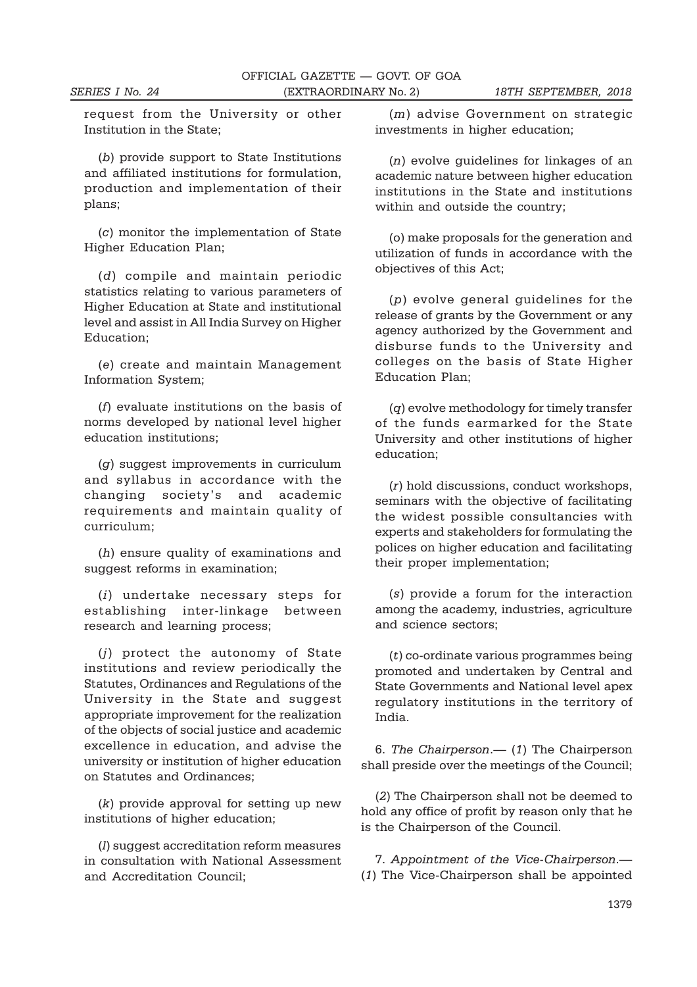request from the University or other Institution in the State;

(b) provide support to State Institutions and affiliated institutions for formulation, production and implementation of their plans;

(c) monitor the implementation of State Higher Education Plan;

(d) compile and maintain periodic statistics relating to various parameters of Higher Education at State and institutional level and assist in All India Survey on Higher Education;

(e) create and maintain Management Information System;

(f) evaluate institutions on the basis of norms developed by national level higher education institutions;

(g) suggest improvements in curriculum and syllabus in accordance with the changing society's and academic requirements and maintain quality of curriculum;

(h) ensure quality of examinations and suggest reforms in examination;

(i) undertake necessary steps for establishing inter-linkage between research and learning process;

(j) protect the autonomy of State institutions and review periodically the Statutes, Ordinances and Regulations of the University in the State and suggest appropriate improvement for the realization of the objects of social justice and academic excellence in education, and advise the university or institution of higher education on Statutes and Ordinances;

(k) provide approval for setting up new institutions of higher education;

(l) suggest accreditation reform measures in consultation with National Assessment and Accreditation Council;

 $(m)$  advise Government on strategic investments in higher education;

(n) evolve guidelines for linkages of an academic nature between higher education institutions in the State and institutions within and outside the country;

(o) make proposals for the generation and utilization of funds in accordance with the objectives of this Act;

(p) evolve general guidelines for the release of grants by the Government or any agency authorized by the Government and disburse funds to the University and colleges on the basis of State Higher Education Plan;

(q) evolve methodology for timely transfer of the funds earmarked for the State University and other institutions of higher education;

(r) hold discussions, conduct workshops, seminars with the objective of facilitating the widest possible consultancies with experts and stakeholders for formulating the polices on higher education and facilitating their proper implementation;

(s) provide a forum for the interaction among the academy, industries, agriculture and science sectors;

(t) co-ordinate various programmes being promoted and undertaken by Central and State Governments and National level apex regulatory institutions in the territory of India.

6. The Chairperson.— (1) The Chairperson shall preside over the meetings of the Council;

(2) The Chairperson shall not be deemed to hold any office of profit by reason only that he is the Chairperson of the Council.

7. Appointment of the Vice-Chairperson.— (1) The Vice-Chairperson shall be appointed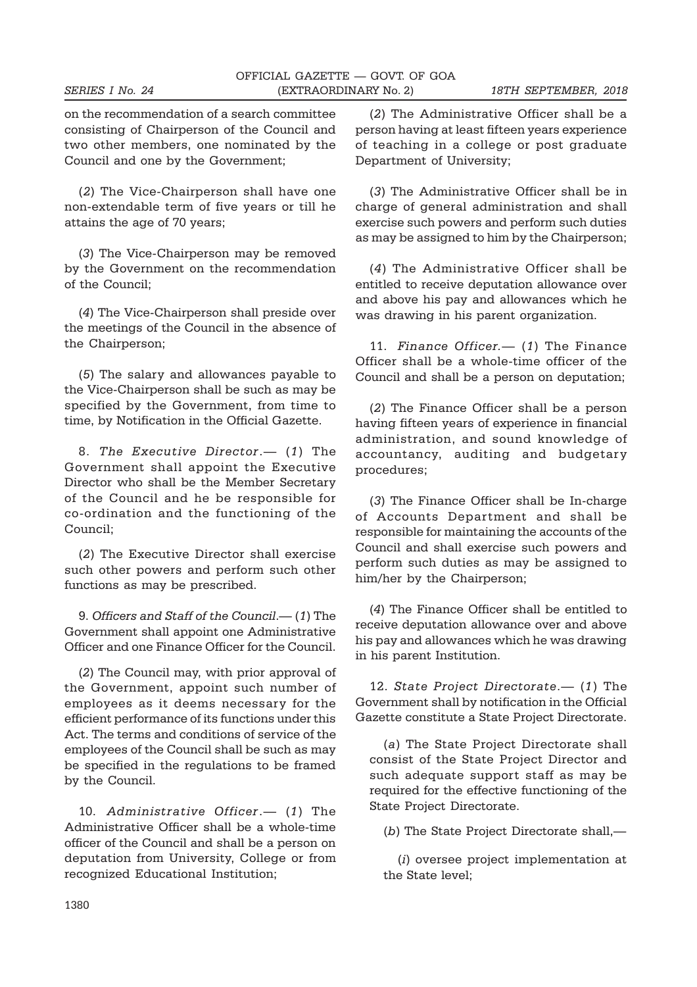on the recommendation of a search committee consisting of Chairperson of the Council and two other members, one nominated by the Council and one by the Government;

(2) The Vice-Chairperson shall have one non-extendable term of five years or till he attains the age of 70 years;

(3) The Vice-Chairperson may be removed by the Government on the recommendation of the Council;

(4) The Vice-Chairperson shall preside over the meetings of the Council in the absence of the Chairperson;

(5) The salary and allowances payable to the Vice-Chairperson shall be such as may be specified by the Government, from time to time, by Notification in the Official Gazette.

8. The Executive Director.— (1) The Government shall appoint the Executive Director who shall be the Member Secretary of the Council and he be responsible for co-ordination and the functioning of the Council;

(2) The Executive Director shall exercise such other powers and perform such other functions as may be prescribed.

9. Officers and Staff of the Council.— (1) The Government shall appoint one Administrative Officer and one Finance Officer for the Council.

(2) The Council may, with prior approval of the Government, appoint such number of employees as it deems necessary for the efficient performance of its functions under this Act. The terms and conditions of service of the employees of the Council shall be such as may be specified in the regulations to be framed by the Council.

10. Administrative Officer.— (1) The Administrative Officer shall be a whole-time officer of the Council and shall be a person on deputation from University, College or from recognized Educational Institution;

(2) The Administrative Officer shall be a person having at least fifteen years experience of teaching in a college or post graduate Department of University;

(3) The Administrative Officer shall be in charge of general administration and shall exercise such powers and perform such duties as may be assigned to him by the Chairperson;

(4) The Administrative Officer shall be entitled to receive deputation allowance over and above his pay and allowances which he was drawing in his parent organization.

11. Finance Officer. - (1) The Finance Officer shall be a whole-time officer of the Council and shall be a person on deputation;

(2) The Finance Officer shall be a person having fifteen years of experience in financial administration, and sound knowledge of accountancy, auditing and budgetary procedures;

(3) The Finance Officer shall be In-charge of Accounts Department and shall be responsible for maintaining the accounts of the Council and shall exercise such powers and perform such duties as may be assigned to him/her by the Chairperson;

(4) The Finance Officer shall be entitled to receive deputation allowance over and above his pay and allowances which he was drawing in his parent Institution.

12. State Project Directorate.— (1) The Government shall by notification in the Official Gazette constitute a State Project Directorate.

(a) The State Project Directorate shall consist of the State Project Director and such adequate support staff as may be required for the effective functioning of the State Project Directorate.

(b) The State Project Directorate shall,—

(i) oversee project implementation at the State level;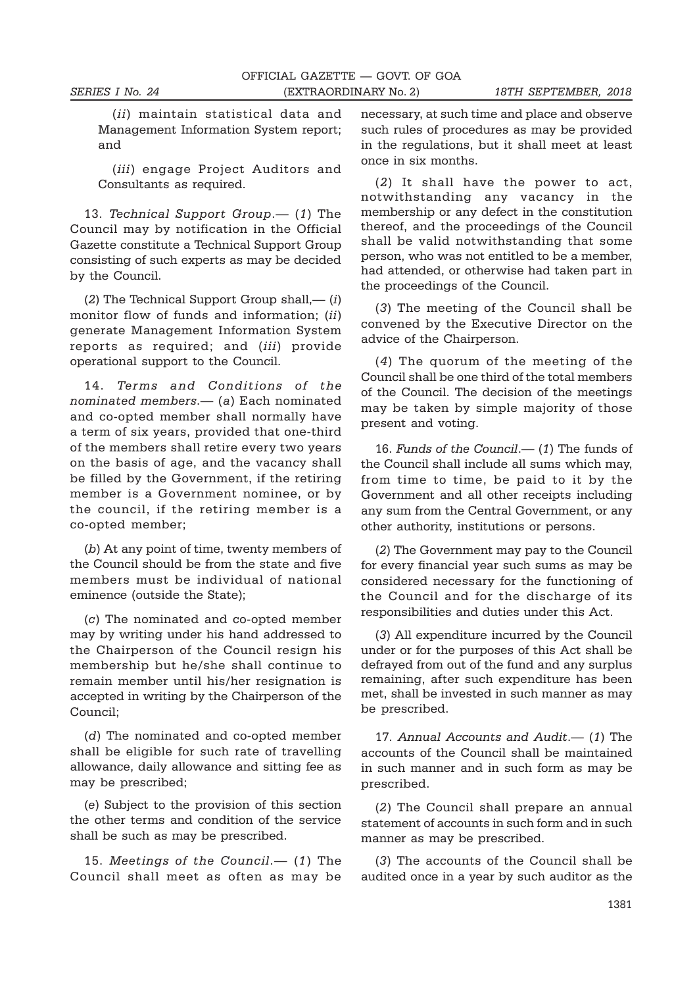(*ii*) maintain statistical data and Management Information System report; and

(iii) engage Project Auditors and Consultants as required.

13. Technical Support Group.  $(1)$  The Council may by notification in the Official Gazette constitute a Technical Support Group consisting of such experts as may be decided by the Council.

(2) The Technical Support Group shall,— $(i)$ monitor flow of funds and information: (ii) generate Management Information System reports as required; and (iii) provide operational support to the Council.

14. Terms and Conditions of the nominated members.— (a) Each nominated and co-opted member shall normally have a term of six years, provided that one-third of the members shall retire every two years on the basis of age, and the vacancy shall be filled by the Government, if the retiring member is a Government nominee, or by the council, if the retiring member is a co-opted member;

(b) At any point of time, twenty members of the Council should be from the state and five members must be individual of national eminence (outside the State);

(c) The nominated and co-opted member may by writing under his hand addressed to the Chairperson of the Council resign his membership but he/she shall continue to remain member until his/her resignation is accepted in writing by the Chairperson of the Council;

(d) The nominated and co-opted member shall be eligible for such rate of travelling allowance, daily allowance and sitting fee as may be prescribed;

(e) Subject to the provision of this section the other terms and condition of the service shall be such as may be prescribed.

15. Meetings of the Council.— (1) The Council shall meet as often as may be necessary, at such time and place and observe such rules of procedures as may be provided in the regulations, but it shall meet at least once in six months.

(2) It shall have the power to act, notwithstanding any vacancy in the membership or any defect in the constitution thereof, and the proceedings of the Council shall be valid notwithstanding that some person, who was not entitled to be a member, had attended, or otherwise had taken part in the proceedings of the Council.

(3) The meeting of the Council shall be convened by the Executive Director on the advice of the Chairperson.

(4) The quorum of the meeting of the Council shall be one third of the total members of the Council. The decision of the meetings may be taken by simple majority of those present and voting.

16. Funds of the Council.— (1) The funds of the Council shall include all sums which may, from time to time, be paid to it by the Government and all other receipts including any sum from the Central Government, or any other authority, institutions or persons.

(2) The Government may pay to the Council for every financial year such sums as may be considered necessary for the functioning of the Council and for the discharge of its responsibilities and duties under this Act.

(3) All expenditure incurred by the Council under or for the purposes of this Act shall be defrayed from out of the fund and any surplus remaining, after such expenditure has been met, shall be invested in such manner as may be prescribed.

17. Annual Accounts and Audit. - (1) The accounts of the Council shall be maintained in such manner and in such form as may be prescribed.

(2) The Council shall prepare an annual statement of accounts in such form and in such manner as may be prescribed.

(3) The accounts of the Council shall be audited once in a year by such auditor as the